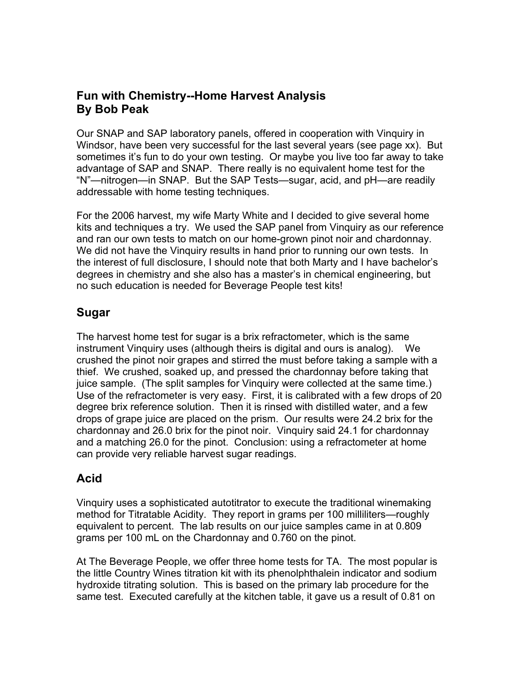# **Fun with Chemistry--Home Harvest Analysis By Bob Peak**

Our SNAP and SAP laboratory panels, offered in cooperation with Vinquiry in Windsor, have been very successful for the last several years (see page xx). But sometimes it's fun to do your own testing. Or maybe you live too far away to take advantage of SAP and SNAP. There really is no equivalent home test for the "N"—nitrogen—in SNAP. But the SAP Tests—sugar, acid, and pH—are readily addressable with home testing techniques.

For the 2006 harvest, my wife Marty White and I decided to give several home kits and techniques a try. We used the SAP panel from Vinquiry as our reference and ran our own tests to match on our home-grown pinot noir and chardonnay. We did not have the Vinquiry results in hand prior to running our own tests. In the interest of full disclosure, I should note that both Marty and I have bachelor's degrees in chemistry and she also has a master's in chemical engineering, but no such education is needed for Beverage People test kits!

# **Sugar**

The harvest home test for sugar is a brix refractometer, which is the same instrument Vinquiry uses (although theirs is digital and ours is analog). We crushed the pinot noir grapes and stirred the must before taking a sample with a thief. We crushed, soaked up, and pressed the chardonnay before taking that juice sample. (The split samples for Vinquiry were collected at the same time.) Use of the refractometer is very easy. First, it is calibrated with a few drops of 20 degree brix reference solution. Then it is rinsed with distilled water, and a few drops of grape juice are placed on the prism. Our results were 24.2 brix for the chardonnay and 26.0 brix for the pinot noir. Vinquiry said 24.1 for chardonnay and a matching 26.0 for the pinot. Conclusion: using a refractometer at home can provide very reliable harvest sugar readings.

## **Acid**

Vinquiry uses a sophisticated autotitrator to execute the traditional winemaking method for Titratable Acidity. They report in grams per 100 milliliters—roughly equivalent to percent. The lab results on our juice samples came in at 0.809 grams per 100 mL on the Chardonnay and 0.760 on the pinot.

At The Beverage People, we offer three home tests for TA. The most popular is the little Country Wines titration kit with its phenolphthalein indicator and sodium hydroxide titrating solution. This is based on the primary lab procedure for the same test. Executed carefully at the kitchen table, it gave us a result of 0.81 on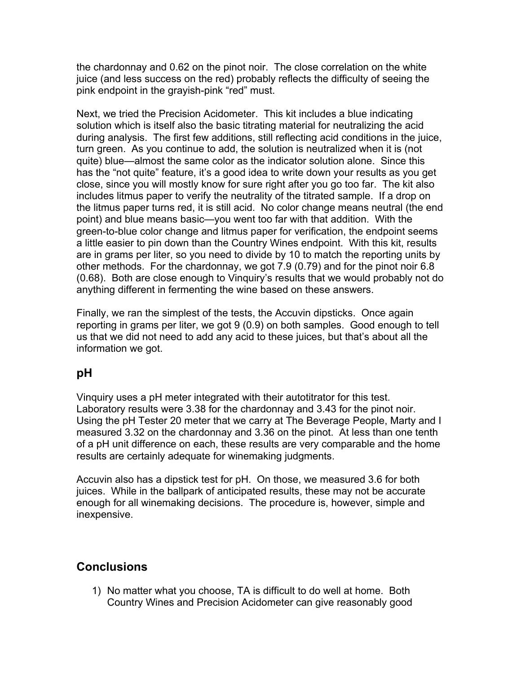the chardonnay and 0.62 on the pinot noir. The close correlation on the white juice (and less success on the red) probably reflects the difficulty of seeing the pink endpoint in the grayish-pink "red" must.

Next, we tried the Precision Acidometer. This kit includes a blue indicating solution which is itself also the basic titrating material for neutralizing the acid during analysis. The first few additions, still reflecting acid conditions in the juice, turn green. As you continue to add, the solution is neutralized when it is (not quite) blue—almost the same color as the indicator solution alone. Since this has the "not quite" feature, it's a good idea to write down your results as you get close, since you will mostly know for sure right after you go too far. The kit also includes litmus paper to verify the neutrality of the titrated sample. If a drop on the litmus paper turns red, it is still acid. No color change means neutral (the end point) and blue means basic—you went too far with that addition. With the green-to-blue color change and litmus paper for verification, the endpoint seems a little easier to pin down than the Country Wines endpoint. With this kit, results are in grams per liter, so you need to divide by 10 to match the reporting units by other methods. For the chardonnay, we got 7.9 (0.79) and for the pinot noir 6.8 (0.68). Both are close enough to Vinquiry's results that we would probably not do anything different in fermenting the wine based on these answers.

Finally, we ran the simplest of the tests, the Accuvin dipsticks. Once again reporting in grams per liter, we got 9 (0.9) on both samples. Good enough to tell us that we did not need to add any acid to these juices, but that's about all the information we got.

## **pH**

Vinquiry uses a pH meter integrated with their autotitrator for this test. Laboratory results were 3.38 for the chardonnay and 3.43 for the pinot noir. Using the pH Tester 20 meter that we carry at The Beverage People, Marty and I measured 3.32 on the chardonnay and 3.36 on the pinot. At less than one tenth of a pH unit difference on each, these results are very comparable and the home results are certainly adequate for winemaking judgments.

Accuvin also has a dipstick test for pH. On those, we measured 3.6 for both juices. While in the ballpark of anticipated results, these may not be accurate enough for all winemaking decisions. The procedure is, however, simple and inexpensive.

## **Conclusions**

1) No matter what you choose, TA is difficult to do well at home. Both Country Wines and Precision Acidometer can give reasonably good